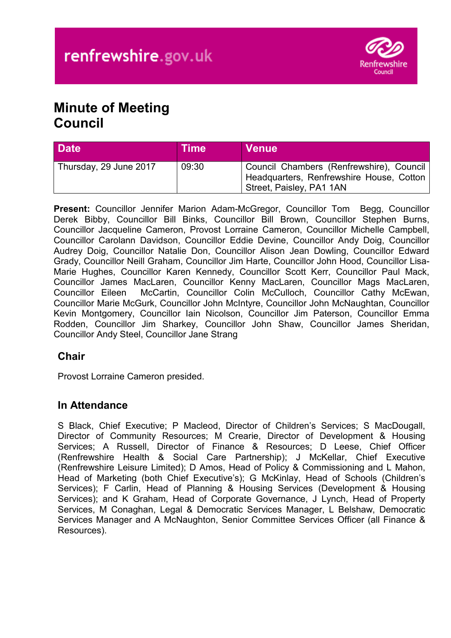

# **Minute of Meeting Council**

| <b>Date</b>            | <b>Time</b> | <b>Venue</b>                                                                                                       |
|------------------------|-------------|--------------------------------------------------------------------------------------------------------------------|
| Thursday, 29 June 2017 | 09:30       | Council Chambers (Renfrewshire), Council  <br>Headquarters, Renfrewshire House, Cotton<br>Street, Paisley, PA1 1AN |

**Present:** Councillor Jennifer Marion Adam-McGregor, Councillor Tom Begg, Councillor Derek Bibby, Councillor Bill Binks, Councillor Bill Brown, Councillor Stephen Burns, Councillor Jacqueline Cameron, Provost Lorraine Cameron, Councillor Michelle Campbell, Councillor Carolann Davidson, Councillor Eddie Devine, Councillor Andy Doig, Councillor Audrey Doig, Councillor Natalie Don, Councillor Alison Jean Dowling, Councillor Edward Grady, Councillor Neill Graham, Councillor Jim Harte, Councillor John Hood, Councillor Lisa-Marie Hughes, Councillor Karen Kennedy, Councillor Scott Kerr, Councillor Paul Mack, Councillor James MacLaren, Councillor Kenny MacLaren, Councillor Mags MacLaren, Councillor Eileen McCartin, Councillor Colin McCulloch, Councillor Cathy McEwan, Councillor Marie McGurk, Councillor John McIntyre, Councillor John McNaughtan, Councillor Kevin Montgomery, Councillor Iain Nicolson, Councillor Jim Paterson, Councillor Emma Rodden, Councillor Jim Sharkey, Councillor John Shaw, Councillor James Sheridan, Councillor Andy Steel, Councillor Jane Strang

### **Chair**

Provost Lorraine Cameron presided.

### **In Attendance**

S Black, Chief Executive; P Macleod, Director of Children's Services; S MacDougall, Director of Community Resources; M Crearie, Director of Development & Housing Services; A Russell, Director of Finance & Resources; D Leese, Chief Officer (Renfrewshire Health & Social Care Partnership); J McKellar, Chief Executive (Renfrewshire Leisure Limited); D Amos, Head of Policy & Commissioning and L Mahon, Head of Marketing (both Chief Executive's); G McKinlay, Head of Schools (Children's Services); F Carlin, Head of Planning & Housing Services (Development & Housing Services); and K Graham, Head of Corporate Governance, J Lynch, Head of Property Services, M Conaghan, Legal & Democratic Services Manager, L Belshaw, Democratic Services Manager and A McNaughton, Senior Committee Services Officer (all Finance & Resources).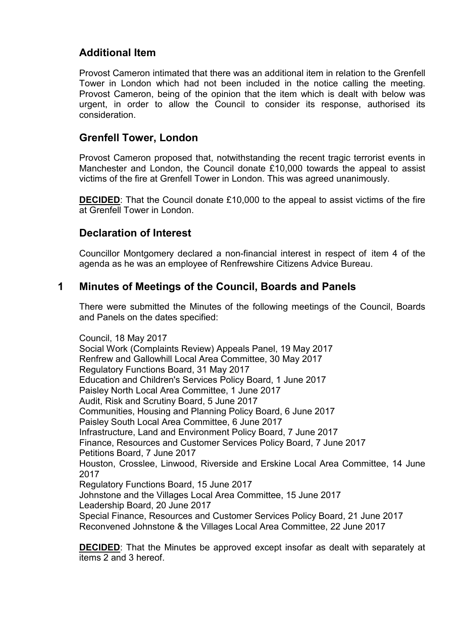# **Additional Item**

Provost Cameron intimated that there was an additional item in relation to the Grenfell Tower in London which had not been included in the notice calling the meeting. Provost Cameron, being of the opinion that the item which is dealt with below was urgent, in order to allow the Council to consider its response, authorised its consideration.

### **Grenfell Tower, London**

Provost Cameron proposed that, notwithstanding the recent tragic terrorist events in Manchester and London, the Council donate £10,000 towards the appeal to assist victims of the fire at Grenfell Tower in London. This was agreed unanimously.

**DECIDED**: That the Council donate £10,000 to the appeal to assist victims of the fire at Grenfell Tower in London.

### **Declaration of Interest**

Councillor Montgomery declared a non-financial interest in respect of item 4 of the agenda as he was an employee of Renfrewshire Citizens Advice Bureau.

### **1 Minutes of Meetings of the Council, Boards and Panels**

There were submitted the Minutes of the following meetings of the Council, Boards and Panels on the dates specified:

Council, 18 May 2017

Social Work (Complaints Review) Appeals Panel, 19 May 2017 Renfrew and Gallowhill Local Area Committee, 30 May 2017 Regulatory Functions Board, 31 May 2017 Education and Children's Services Policy Board, 1 June 2017 Paisley North Local Area Committee, 1 June 2017 Audit, Risk and Scrutiny Board, 5 June 2017 Communities, Housing and Planning Policy Board, 6 June 2017 Paisley South Local Area Committee, 6 June 2017 Infrastructure, Land and Environment Policy Board, 7 June 2017 Finance, Resources and Customer Services Policy Board, 7 June 2017 Petitions Board, 7 June 2017 Houston, Crosslee, Linwood, Riverside and Erskine Local Area Committee, 14 June 2017 Regulatory Functions Board, 15 June 2017 Johnstone and the Villages Local Area Committee, 15 June 2017 Leadership Board, 20 June 2017 Special Finance, Resources and Customer Services Policy Board, 21 June 2017 Reconvened Johnstone & the Villages Local Area Committee, 22 June 2017

**DECIDED**: That the Minutes be approved except insofar as dealt with separately at items 2 and 3 hereof.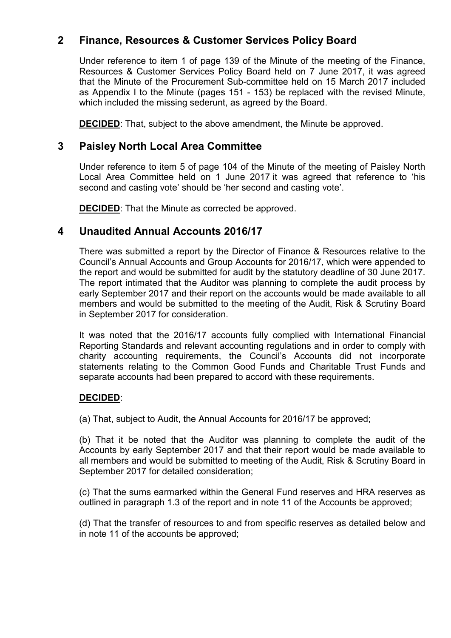# **2 Finance, Resources & Customer Services Policy Board**

Under reference to item 1 of page 139 of the Minute of the meeting of the Finance, Resources & Customer Services Policy Board held on 7 June 2017, it was agreed that the Minute of the Procurement Sub-committee held on 15 March 2017 included as Appendix I to the Minute (pages 151 - 153) be replaced with the revised Minute, which included the missing sederunt, as agreed by the Board.

**DECIDED**: That, subject to the above amendment, the Minute be approved.

### **3 Paisley North Local Area Committee**

Under reference to item 5 of page 104 of the Minute of the meeting of Paisley North Local Area Committee held on 1 June 2017 it was agreed that reference to 'his second and casting vote' should be 'her second and casting vote'.

**DECIDED:** That the Minute as corrected be approved.

### **4 Unaudited Annual Accounts 2016/17**

There was submitted a report by the Director of Finance & Resources relative to the Council's Annual Accounts and Group Accounts for 2016/17, which were appended to the report and would be submitted for audit by the statutory deadline of 30 June 2017. The report intimated that the Auditor was planning to complete the audit process by early September 2017 and their report on the accounts would be made available to all members and would be submitted to the meeting of the Audit, Risk & Scrutiny Board in September 2017 for consideration.

It was noted that the 2016/17 accounts fully complied with International Financial Reporting Standards and relevant accounting regulations and in order to comply with charity accounting requirements, the Council's Accounts did not incorporate statements relating to the Common Good Funds and Charitable Trust Funds and separate accounts had been prepared to accord with these requirements.

#### **DECIDED**:

(a) That, subject to Audit, the Annual Accounts for 2016/17 be approved;

(b) That it be noted that the Auditor was planning to complete the audit of the Accounts by early September 2017 and that their report would be made available to all members and would be submitted to meeting of the Audit, Risk & Scrutiny Board in September 2017 for detailed consideration;

(c) That the sums earmarked within the General Fund reserves and HRA reserves as outlined in paragraph 1.3 of the report and in note 11 of the Accounts be approved;

(d) That the transfer of resources to and from specific reserves as detailed below and in note 11 of the accounts be approved;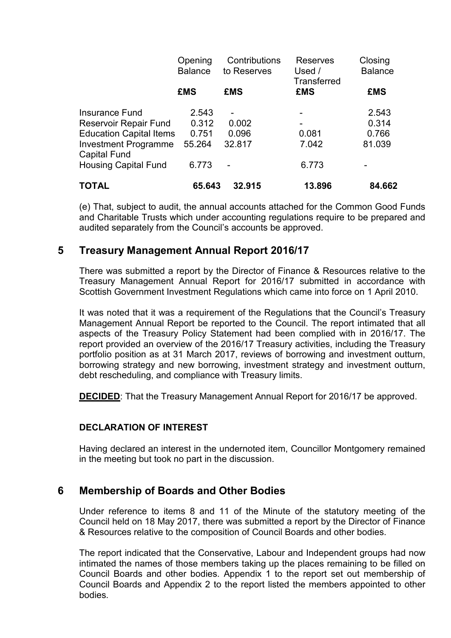|                                             | Opening<br><b>Balance</b><br><b>£MS</b> | Contributions<br>to Reserves | <b>Reserves</b><br>Used $/$<br>Transferred | Closing<br><b>Balance</b> |
|---------------------------------------------|-----------------------------------------|------------------------------|--------------------------------------------|---------------------------|
|                                             |                                         | <b>£MS</b>                   | <b>£MS</b>                                 | <b>£MS</b>                |
| <b>Insurance Fund</b>                       | 2.543                                   |                              |                                            | 2.543                     |
| Reservoir Repair Fund                       | 0.312                                   | 0.002                        |                                            | 0.314                     |
| <b>Education Capital Items</b>              | 0.751                                   | 0.096                        | 0.081                                      | 0.766                     |
| <b>Investment Programme</b><br>Capital Fund | 55.264                                  | 32.817                       | 7.042                                      | 81.039                    |
| <b>Housing Capital Fund</b>                 | 6.773                                   |                              | 6.773                                      |                           |
| TOTAL                                       | 65.643                                  | 32.915                       | 13.896                                     | 84.662                    |

(e) That, subject to audit, the annual accounts attached for the Common Good Funds and Charitable Trusts which under accounting regulations require to be prepared and audited separately from the Council's accounts be approved.

### **5 Treasury Management Annual Report 2016/17**

There was submitted a report by the Director of Finance & Resources relative to the Treasury Management Annual Report for 2016/17 submitted in accordance with Scottish Government Investment Regulations which came into force on 1 April 2010.

It was noted that it was a requirement of the Regulations that the Council's Treasury Management Annual Report be reported to the Council. The report intimated that all aspects of the Treasury Policy Statement had been complied with in 2016/17. The report provided an overview of the 2016/17 Treasury activities, including the Treasury portfolio position as at 31 March 2017, reviews of borrowing and investment outturn, borrowing strategy and new borrowing, investment strategy and investment outturn, debt rescheduling, and compliance with Treasury limits.

**DECIDED**: That the Treasury Management Annual Report for 2016/17 be approved.

#### **DECLARATION OF INTEREST**

Having declared an interest in the undernoted item, Councillor Montgomery remained in the meeting but took no part in the discussion.

# **6 Membership of Boards and Other Bodies**

Under reference to items 8 and 11 of the Minute of the statutory meeting of the Council held on 18 May 2017, there was submitted a report by the Director of Finance & Resources relative to the composition of Council Boards and other bodies.

The report indicated that the Conservative, Labour and Independent groups had now intimated the names of those members taking up the places remaining to be filled on Council Boards and other bodies. Appendix 1 to the report set out membership of Council Boards and Appendix 2 to the report listed the members appointed to other bodies.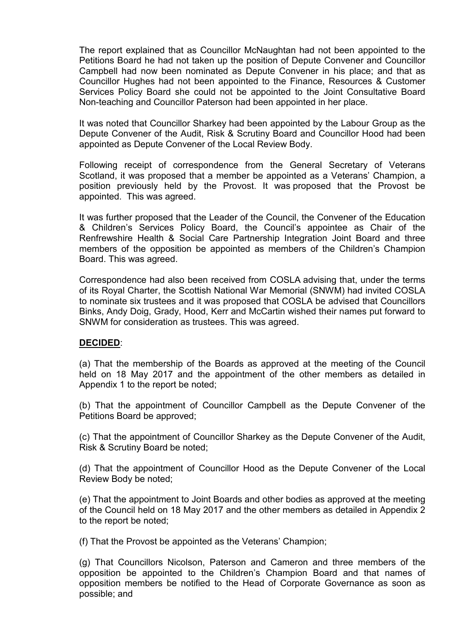The report explained that as Councillor McNaughtan had not been appointed to the Petitions Board he had not taken up the position of Depute Convener and Councillor Campbell had now been nominated as Depute Convener in his place; and that as Councillor Hughes had not been appointed to the Finance, Resources & Customer Services Policy Board she could not be appointed to the Joint Consultative Board Non-teaching and Councillor Paterson had been appointed in her place.

It was noted that Councillor Sharkey had been appointed by the Labour Group as the Depute Convener of the Audit, Risk & Scrutiny Board and Councillor Hood had been appointed as Depute Convener of the Local Review Body.

Following receipt of correspondence from the General Secretary of Veterans Scotland, it was proposed that a member be appointed as a Veterans' Champion, a position previously held by the Provost. It was proposed that the Provost be appointed. This was agreed.

It was further proposed that the Leader of the Council, the Convener of the Education & Children's Services Policy Board, the Council's appointee as Chair of the Renfrewshire Health & Social Care Partnership Integration Joint Board and three members of the opposition be appointed as members of the Children's Champion Board. This was agreed.

Correspondence had also been received from COSLA advising that, under the terms of its Royal Charter, the Scottish National War Memorial (SNWM) had invited COSLA to nominate six trustees and it was proposed that COSLA be advised that Councillors Binks, Andy Doig, Grady, Hood, Kerr and McCartin wished their names put forward to SNWM for consideration as trustees. This was agreed.

#### **DECIDED**:

(a) That the membership of the Boards as approved at the meeting of the Council held on 18 May 2017 and the appointment of the other members as detailed in Appendix 1 to the report be noted;

(b) That the appointment of Councillor Campbell as the Depute Convener of the Petitions Board be approved;

(c) That the appointment of Councillor Sharkey as the Depute Convener of the Audit, Risk & Scrutiny Board be noted;

(d) That the appointment of Councillor Hood as the Depute Convener of the Local Review Body be noted;

(e) That the appointment to Joint Boards and other bodies as approved at the meeting of the Council held on 18 May 2017 and the other members as detailed in Appendix 2 to the report be noted;

(f) That the Provost be appointed as the Veterans' Champion;

(g) That Councillors Nicolson, Paterson and Cameron and three members of the opposition be appointed to the Children's Champion Board and that names of opposition members be notified to the Head of Corporate Governance as soon as possible; and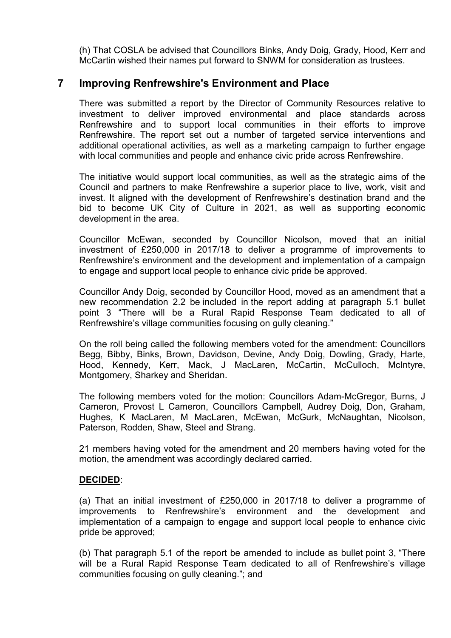(h) That COSLA be advised that Councillors Binks, Andy Doig, Grady, Hood, Kerr and McCartin wished their names put forward to SNWM for consideration as trustees.

### **7 Improving Renfrewshire's Environment and Place**

There was submitted a report by the Director of Community Resources relative to investment to deliver improved environmental and place standards across Renfrewshire and to support local communities in their efforts to improve Renfrewshire. The report set out a number of targeted service interventions and additional operational activities, as well as a marketing campaign to further engage with local communities and people and enhance civic pride across Renfrewshire.

The initiative would support local communities, as well as the strategic aims of the Council and partners to make Renfrewshire a superior place to live, work, visit and invest. It aligned with the development of Renfrewshire's destination brand and the bid to become UK City of Culture in 2021, as well as supporting economic development in the area.

Councillor McEwan, seconded by Councillor Nicolson, moved that an initial investment of £250,000 in 2017/18 to deliver a programme of improvements to Renfrewshire's environment and the development and implementation of a campaign to engage and support local people to enhance civic pride be approved.

Councillor Andy Doig, seconded by Councillor Hood, moved as an amendment that a new recommendation 2.2 be included in the report adding at paragraph 5.1 bullet point 3 "There will be a Rural Rapid Response Team dedicated to all of Renfrewshire's village communities focusing on gully cleaning."

On the roll being called the following members voted for the amendment: Councillors Begg, Bibby, Binks, Brown, Davidson, Devine, Andy Doig, Dowling, Grady, Harte, Hood, Kennedy, Kerr, Mack, J MacLaren, McCartin, McCulloch, McIntyre, Montgomery, Sharkey and Sheridan.

The following members voted for the motion: Councillors Adam-McGregor, Burns, J Cameron, Provost L Cameron, Councillors Campbell, Audrey Doig, Don, Graham, Hughes, K MacLaren, M MacLaren, McEwan, McGurk, McNaughtan, Nicolson, Paterson, Rodden, Shaw, Steel and Strang.

21 members having voted for the amendment and 20 members having voted for the motion, the amendment was accordingly declared carried.

#### **DECIDED**:

(a) That an initial investment of £250,000 in 2017/18 to deliver a programme of improvements to Renfrewshire's environment and the development and implementation of a campaign to engage and support local people to enhance civic pride be approved;

(b) That paragraph 5.1 of the report be amended to include as bullet point 3, "There will be a Rural Rapid Response Team dedicated to all of Renfrewshire's village communities focusing on gully cleaning."; and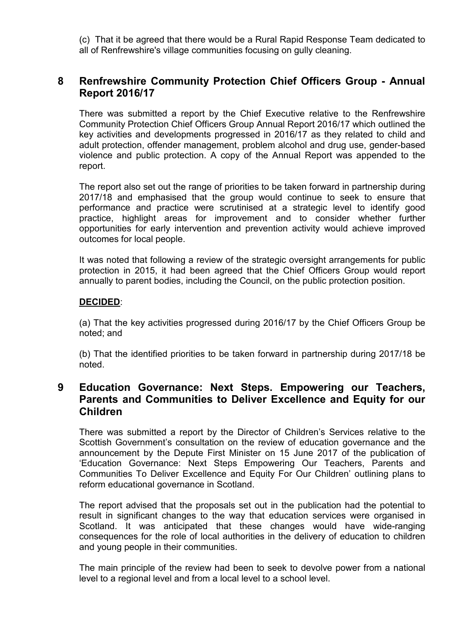(c) That it be agreed that there would be a Rural Rapid Response Team dedicated to all of Renfrewshire's village communities focusing on gully cleaning.

# **8 Renfrewshire Community Protection Chief Officers Group - Annual Report 2016/17**

There was submitted a report by the Chief Executive relative to the Renfrewshire Community Protection Chief Officers Group Annual Report 2016/17 which outlined the key activities and developments progressed in 2016/17 as they related to child and adult protection, offender management, problem alcohol and drug use, gender-based violence and public protection. A copy of the Annual Report was appended to the report.

The report also set out the range of priorities to be taken forward in partnership during 2017/18 and emphasised that the group would continue to seek to ensure that performance and practice were scrutinised at a strategic level to identify good practice, highlight areas for improvement and to consider whether further opportunities for early intervention and prevention activity would achieve improved outcomes for local people.

It was noted that following a review of the strategic oversight arrangements for public protection in 2015, it had been agreed that the Chief Officers Group would report annually to parent bodies, including the Council, on the public protection position.

#### **DECIDED**:

(a) That the key activities progressed during 2016/17 by the Chief Officers Group be noted; and

(b) That the identified priorities to be taken forward in partnership during 2017/18 be noted.

## **9 Education Governance: Next Steps. Empowering our Teachers, Parents and Communities to Deliver Excellence and Equity for our Children**

There was submitted a report by the Director of Children's Services relative to the Scottish Government's consultation on the review of education governance and the announcement by the Depute First Minister on 15 June 2017 of the publication of 'Education Governance: Next Steps Empowering Our Teachers, Parents and Communities To Deliver Excellence and Equity For Our Children' outlining plans to reform educational governance in Scotland.

The report advised that the proposals set out in the publication had the potential to result in significant changes to the way that education services were organised in Scotland. It was anticipated that these changes would have wide-ranging consequences for the role of local authorities in the delivery of education to children and young people in their communities.

The main principle of the review had been to seek to devolve power from a national level to a regional level and from a local level to a school level.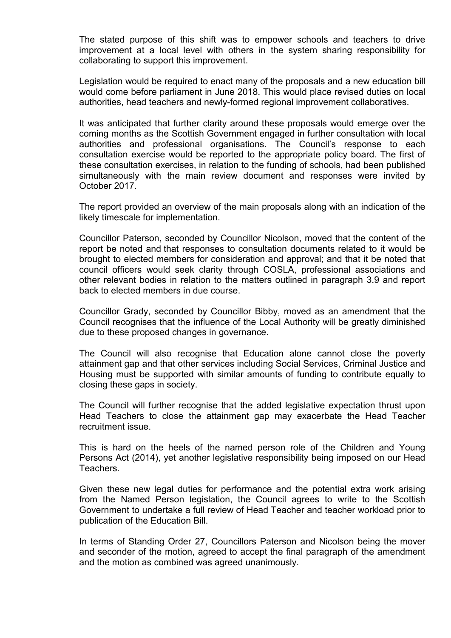The stated purpose of this shift was to empower schools and teachers to drive improvement at a local level with others in the system sharing responsibility for collaborating to support this improvement.

Legislation would be required to enact many of the proposals and a new education bill would come before parliament in June 2018. This would place revised duties on local authorities, head teachers and newly-formed regional improvement collaboratives.

It was anticipated that further clarity around these proposals would emerge over the coming months as the Scottish Government engaged in further consultation with local authorities and professional organisations. The Council's response to each consultation exercise would be reported to the appropriate policy board. The first of these consultation exercises, in relation to the funding of schools, had been published simultaneously with the main review document and responses were invited by October 2017.

The report provided an overview of the main proposals along with an indication of the likely timescale for implementation.

Councillor Paterson, seconded by Councillor Nicolson, moved that the content of the report be noted and that responses to consultation documents related to it would be brought to elected members for consideration and approval; and that it be noted that council officers would seek clarity through COSLA, professional associations and other relevant bodies in relation to the matters outlined in paragraph 3.9 and report back to elected members in due course.

Councillor Grady, seconded by Councillor Bibby, moved as an amendment that the Council recognises that the influence of the Local Authority will be greatly diminished due to these proposed changes in governance.

The Council will also recognise that Education alone cannot close the poverty attainment gap and that other services including Social Services, Criminal Justice and Housing must be supported with similar amounts of funding to contribute equally to closing these gaps in society.

The Council will further recognise that the added legislative expectation thrust upon Head Teachers to close the attainment gap may exacerbate the Head Teacher recruitment issue.

This is hard on the heels of the named person role of the Children and Young Persons Act (2014), yet another legislative responsibility being imposed on our Head Teachers.

Given these new legal duties for performance and the potential extra work arising from the Named Person legislation, the Council agrees to write to the Scottish Government to undertake a full review of Head Teacher and teacher workload prior to publication of the Education Bill.

In terms of Standing Order 27, Councillors Paterson and Nicolson being the mover and seconder of the motion, agreed to accept the final paragraph of the amendment and the motion as combined was agreed unanimously.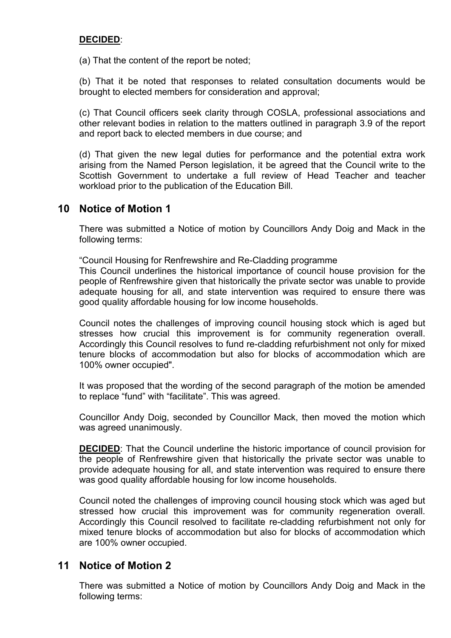#### **DECIDED**:

(a) That the content of the report be noted;

(b) That it be noted that responses to related consultation documents would be brought to elected members for consideration and approval;

(c) That Council officers seek clarity through COSLA, professional associations and other relevant bodies in relation to the matters outlined in paragraph 3.9 of the report and report back to elected members in due course; and

(d) That given the new legal duties for performance and the potential extra work arising from the Named Person legislation, it be agreed that the Council write to the Scottish Government to undertake a full review of Head Teacher and teacher workload prior to the publication of the Education Bill.

### **10 Notice of Motion 1**

There was submitted a Notice of motion by Councillors Andy Doig and Mack in the following terms:

"Council Housing for Renfrewshire and Re-Cladding programme

This Council underlines the historical importance of council house provision for the people of Renfrewshire given that historically the private sector was unable to provide adequate housing for all, and state intervention was required to ensure there was good quality affordable housing for low income households.

Council notes the challenges of improving council housing stock which is aged but stresses how crucial this improvement is for community regeneration overall. Accordingly this Council resolves to fund re-cladding refurbishment not only for mixed tenure blocks of accommodation but also for blocks of accommodation which are 100% owner occupied".

It was proposed that the wording of the second paragraph of the motion be amended to replace "fund" with "facilitate". This was agreed.

Councillor Andy Doig, seconded by Councillor Mack, then moved the motion which was agreed unanimously.

**DECIDED**: That the Council underline the historic importance of council provision for the people of Renfrewshire given that historically the private sector was unable to provide adequate housing for all, and state intervention was required to ensure there was good quality affordable housing for low income households.

Council noted the challenges of improving council housing stock which was aged but stressed how crucial this improvement was for community regeneration overall. Accordingly this Council resolved to facilitate re-cladding refurbishment not only for mixed tenure blocks of accommodation but also for blocks of accommodation which are 100% owner occupied.

### **11 Notice of Motion 2**

There was submitted a Notice of motion by Councillors Andy Doig and Mack in the following terms: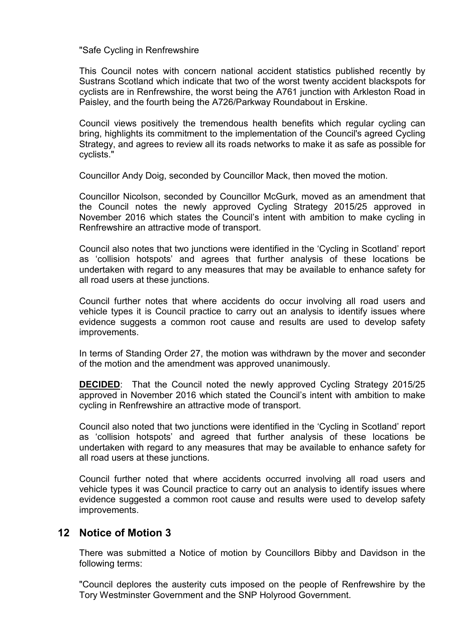"Safe Cycling in Renfrewshire

This Council notes with concern national accident statistics published recently by Sustrans Scotland which indicate that two of the worst twenty accident blackspots for cyclists are in Renfrewshire, the worst being the A761 junction with Arkleston Road in Paisley, and the fourth being the A726/Parkway Roundabout in Erskine.

Council views positively the tremendous health benefits which regular cycling can bring, highlights its commitment to the implementation of the Council's agreed Cycling Strategy, and agrees to review all its roads networks to make it as safe as possible for cyclists."

Councillor Andy Doig, seconded by Councillor Mack, then moved the motion.

Councillor Nicolson, seconded by Councillor McGurk, moved as an amendment that the Council notes the newly approved Cycling Strategy 2015/25 approved in November 2016 which states the Council's intent with ambition to make cycling in Renfrewshire an attractive mode of transport.

Council also notes that two junctions were identified in the 'Cycling in Scotland' report as 'collision hotspots' and agrees that further analysis of these locations be undertaken with regard to any measures that may be available to enhance safety for all road users at these junctions.

Council further notes that where accidents do occur involving all road users and vehicle types it is Council practice to carry out an analysis to identify issues where evidence suggests a common root cause and results are used to develop safety improvements.

In terms of Standing Order 27, the motion was withdrawn by the mover and seconder of the motion and the amendment was approved unanimously.

**DECIDED:** That the Council noted the newly approved Cycling Strategy 2015/25 approved in November 2016 which stated the Council's intent with ambition to make cycling in Renfrewshire an attractive mode of transport.

Council also noted that two junctions were identified in the 'Cycling in Scotland' report as 'collision hotspots' and agreed that further analysis of these locations be undertaken with regard to any measures that may be available to enhance safety for all road users at these junctions.

Council further noted that where accidents occurred involving all road users and vehicle types it was Council practice to carry out an analysis to identify issues where evidence suggested a common root cause and results were used to develop safety improvements.

#### **12 Notice of Motion 3**

There was submitted a Notice of motion by Councillors Bibby and Davidson in the following terms:

"Council deplores the austerity cuts imposed on the people of Renfrewshire by the Tory Westminster Government and the SNP Holyrood Government.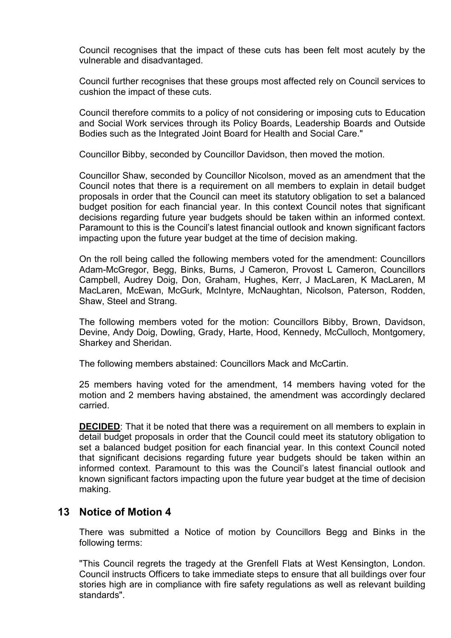Council recognises that the impact of these cuts has been felt most acutely by the vulnerable and disadvantaged.

Council further recognises that these groups most affected rely on Council services to cushion the impact of these cuts.

Council therefore commits to a policy of not considering or imposing cuts to Education and Social Work services through its Policy Boards, Leadership Boards and Outside Bodies such as the Integrated Joint Board for Health and Social Care."

Councillor Bibby, seconded by Councillor Davidson, then moved the motion.

Councillor Shaw, seconded by Councillor Nicolson, moved as an amendment that the Council notes that there is a requirement on all members to explain in detail budget proposals in order that the Council can meet its statutory obligation to set a balanced budget position for each financial year. In this context Council notes that significant decisions regarding future year budgets should be taken within an informed context. Paramount to this is the Council's latest financial outlook and known significant factors impacting upon the future year budget at the time of decision making.

On the roll being called the following members voted for the amendment: Councillors Adam-McGregor, Begg, Binks, Burns, J Cameron, Provost L Cameron, Councillors Campbell, Audrey Doig, Don, Graham, Hughes, Kerr, J MacLaren, K MacLaren, M MacLaren, McEwan, McGurk, McIntyre, McNaughtan, Nicolson, Paterson, Rodden, Shaw, Steel and Strang.

The following members voted for the motion: Councillors Bibby, Brown, Davidson, Devine, Andy Doig, Dowling, Grady, Harte, Hood, Kennedy, McCulloch, Montgomery, Sharkey and Sheridan.

The following members abstained: Councillors Mack and McCartin.

25 members having voted for the amendment, 14 members having voted for the motion and 2 members having abstained, the amendment was accordingly declared carried.

**DECIDED**: That it be noted that there was a requirement on all members to explain in detail budget proposals in order that the Council could meet its statutory obligation to set a balanced budget position for each financial year. In this context Council noted that significant decisions regarding future year budgets should be taken within an informed context. Paramount to this was the Council's latest financial outlook and known significant factors impacting upon the future year budget at the time of decision making.

### **13 Notice of Motion 4**

There was submitted a Notice of motion by Councillors Begg and Binks in the following terms:

"This Council regrets the tragedy at the Grenfell Flats at West Kensington, London. Council instructs Officers to take immediate steps to ensure that all buildings over four stories high are in compliance with fire safety regulations as well as relevant building standards".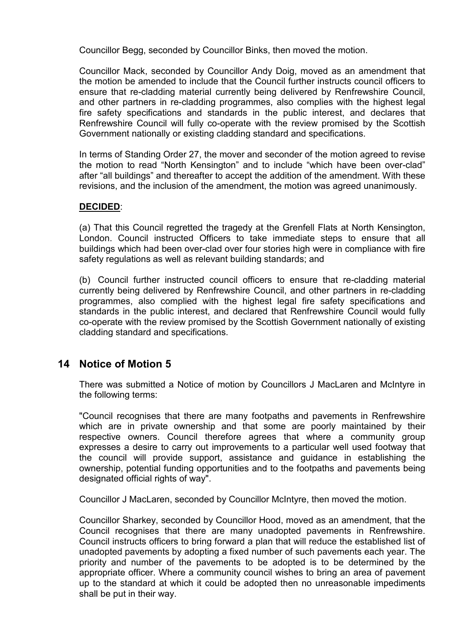Councillor Begg, seconded by Councillor Binks, then moved the motion.

Councillor Mack, seconded by Councillor Andy Doig, moved as an amendment that the motion be amended to include that the Council further instructs council officers to ensure that re-cladding material currently being delivered by Renfrewshire Council, and other partners in re-cladding programmes, also complies with the highest legal fire safety specifications and standards in the public interest, and declares that Renfrewshire Council will fully co-operate with the review promised by the Scottish Government nationally or existing cladding standard and specifications.

In terms of Standing Order 27, the mover and seconder of the motion agreed to revise the motion to read "North Kensington" and to include "which have been over-clad" after "all buildings" and thereafter to accept the addition of the amendment. With these revisions, and the inclusion of the amendment, the motion was agreed unanimously.

#### **DECIDED**:

(a) That this Council regretted the tragedy at the Grenfell Flats at North Kensington, London. Council instructed Officers to take immediate steps to ensure that all buildings which had been over-clad over four stories high were in compliance with fire safety regulations as well as relevant building standards; and

(b) Council further instructed council officers to ensure that re-cladding material currently being delivered by Renfrewshire Council, and other partners in re-cladding programmes, also complied with the highest legal fire safety specifications and standards in the public interest, and declared that Renfrewshire Council would fully co-operate with the review promised by the Scottish Government nationally of existing cladding standard and specifications.

#### **14 Notice of Motion 5**

There was submitted a Notice of motion by Councillors J MacLaren and McIntyre in the following terms:

"Council recognises that there are many footpaths and pavements in Renfrewshire which are in private ownership and that some are poorly maintained by their respective owners. Council therefore agrees that where a community group expresses a desire to carry out improvements to a particular well used footway that the council will provide support, assistance and guidance in establishing the ownership, potential funding opportunities and to the footpaths and pavements being designated official rights of way".

Councillor J MacLaren, seconded by Councillor McIntyre, then moved the motion.

Councillor Sharkey, seconded by Councillor Hood, moved as an amendment, that the Council recognises that there are many unadopted pavements in Renfrewshire. Council instructs officers to bring forward a plan that will reduce the established list of unadopted pavements by adopting a fixed number of such pavements each year. The priority and number of the pavements to be adopted is to be determined by the appropriate officer. Where a community council wishes to bring an area of pavement up to the standard at which it could be adopted then no unreasonable impediments shall be put in their way.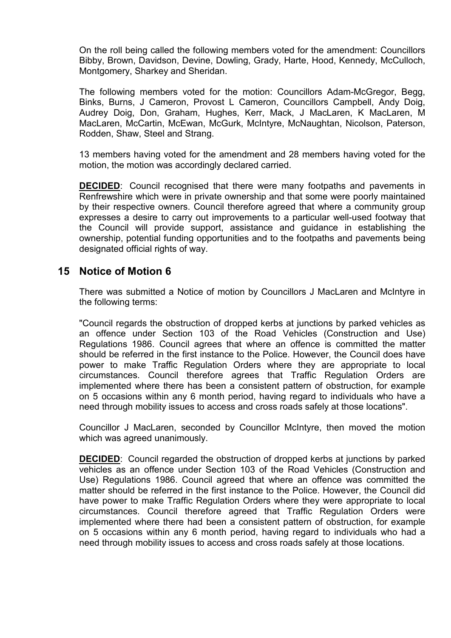On the roll being called the following members voted for the amendment: Councillors Bibby, Brown, Davidson, Devine, Dowling, Grady, Harte, Hood, Kennedy, McCulloch, Montgomery, Sharkey and Sheridan.

The following members voted for the motion: Councillors Adam-McGregor, Begg, Binks, Burns, J Cameron, Provost L Cameron, Councillors Campbell, Andy Doig, Audrey Doig, Don, Graham, Hughes, Kerr, Mack, J MacLaren, K MacLaren, M MacLaren, McCartin, McEwan, McGurk, McIntyre, McNaughtan, Nicolson, Paterson, Rodden, Shaw, Steel and Strang.

13 members having voted for the amendment and 28 members having voted for the motion, the motion was accordingly declared carried.

**DECIDED:** Council recognised that there were many footpaths and pavements in Renfrewshire which were in private ownership and that some were poorly maintained by their respective owners. Council therefore agreed that where a community group expresses a desire to carry out improvements to a particular well-used footway that the Council will provide support, assistance and guidance in establishing the ownership, potential funding opportunities and to the footpaths and pavements being designated official rights of way.

#### **15 Notice of Motion 6**

There was submitted a Notice of motion by Councillors J MacLaren and McIntyre in the following terms:

"Council regards the obstruction of dropped kerbs at junctions by parked vehicles as an offence under Section 103 of the Road Vehicles (Construction and Use) Regulations 1986. Council agrees that where an offence is committed the matter should be referred in the first instance to the Police. However, the Council does have power to make Traffic Regulation Orders where they are appropriate to local circumstances. Council therefore agrees that Traffic Regulation Orders are implemented where there has been a consistent pattern of obstruction, for example on 5 occasions within any 6 month period, having regard to individuals who have a need through mobility issues to access and cross roads safely at those locations".

Councillor J MacLaren, seconded by Councillor McIntyre, then moved the motion which was agreed unanimously.

**DECIDED**: Council regarded the obstruction of dropped kerbs at junctions by parked vehicles as an offence under Section 103 of the Road Vehicles (Construction and Use) Regulations 1986. Council agreed that where an offence was committed the matter should be referred in the first instance to the Police. However, the Council did have power to make Traffic Regulation Orders where they were appropriate to local circumstances. Council therefore agreed that Traffic Regulation Orders were implemented where there had been a consistent pattern of obstruction, for example on 5 occasions within any 6 month period, having regard to individuals who had a need through mobility issues to access and cross roads safely at those locations.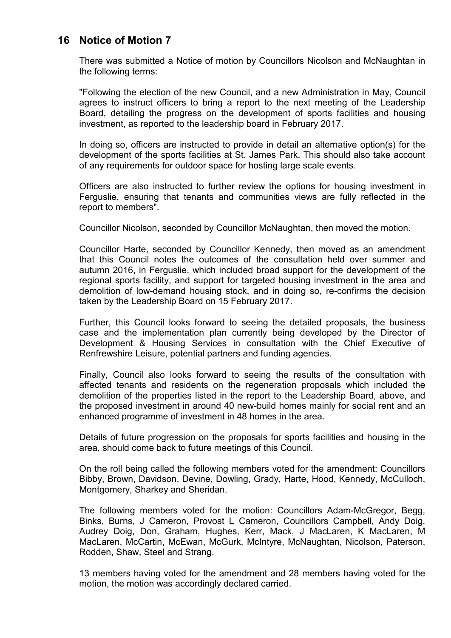# **16 Notice of Motion 7**

There was submitted a Notice of motion by Councillors Nicolson and McNaughtan in the following terms:

"Following the election of the new Council, and a new Administration in May, Council agrees to instruct officers to bring a report to the next meeting of the Leadership Board, detailing the progress on the development of sports facilities and housing investment, as reported to the leadership board in February 2017.

In doing so, officers are instructed to provide in detail an alternative option(s) for the development of the sports facilities at St. James Park. This should also take account of any requirements for outdoor space for hosting large scale events.

Officers are also instructed to further review the options for housing investment in Ferguslie, ensuring that tenants and communities views are fully reflected in the report to members".

Councillor Nicolson, seconded by Councillor McNaughtan, then moved the motion.

Councillor Harte, seconded by Councillor Kennedy, then moved as an amendment that this Council notes the outcomes of the consultation held over summer and autumn 2016, in Ferguslie, which included broad support for the development of the regional sports facility, and support for targeted housing investment in the area and demolition of low-demand housing stock, and in doing so, re-confirms the decision taken by the Leadership Board on 15 February 2017.

Further, this Council looks forward to seeing the detailed proposals, the business case and the implementation plan currently being developed by the Director of Development & Housing Services in consultation with the Chief Executive of Renfrewshire Leisure, potential partners and funding agencies.

Finally, Council also looks forward to seeing the results of the consultation with affected tenants and residents on the regeneration proposals which included the demolition of the properties listed in the report to the Leadership Board, above, and the proposed investment in around 40 new-build homes mainly for social rent and an enhanced programme of investment in 48 homes in the area.

Details of future progression on the proposals for sports facilities and housing in the area, should come back to future meetings of this Council.

On the roll being called the following members voted for the amendment: Councillors Bibby, Brown, Davidson, Devine, Dowling, Grady, Harte, Hood, Kennedy, McCulloch, Montgomery, Sharkey and Sheridan.

The following members voted for the motion: Councillors Adam-McGregor, Begg, Binks, Burns, J Cameron, Provost L Cameron, Councillors Campbell, Andy Doig, Audrey Doig, Don, Graham, Hughes, Kerr, Mack, J MacLaren, K MacLaren, M MacLaren, McCartin, McEwan, McGurk, McIntyre, McNaughtan, Nicolson, Paterson, Rodden, Shaw, Steel and Strang.

13 members having voted for the amendment and 28 members having voted for the motion, the motion was accordingly declared carried.